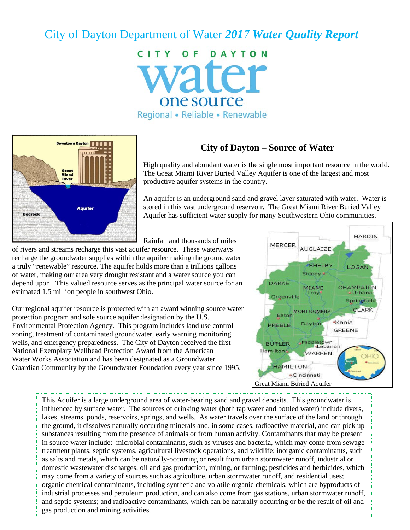# City of Dayton Department of Water *2017 Water Quality Report*

CITY OF DAYTON vater one source Regional • Reliable • Renewable



#### **City of Dayton – Source of Water**

High quality and abundant water is the single most important resource in the world. The Great Miami River Buried Valley Aquifer is one of the largest and most productive aquifer systems in the country.

An aquifer is an underground sand and gravel layer saturated with water. Water is stored in this vast underground reservoir. The Great Miami River Buried Valley Aquifer has sufficient water supply for many Southwestern Ohio communities.

Rainfall and thousands of miles

of rivers and streams recharge this vast aquifer resource. These waterways recharge the groundwater supplies within the aquifer making the groundwater a truly "renewable" resource. The aquifer holds more than a trillions gallons of water, making our area very drought resistant and a water source you can depend upon. This valued resource serves as the principal water source for an estimated 1.5 million people in southwest Ohio.

Our regional aquifer resource is protected with an award winning source water protection program and sole source aquifer designation by the U.S. Environmental Protection Agency. This program includes land use control zoning, treatment of contaminated groundwater, early warning monitoring wells, and emergency preparedness. The City of Dayton received the first National Exemplary Wellhead Protection Award from the American Water Works Association and has been designated as a Groundwater Guardian Community by the Groundwater Foundation every year since 1995.



This Aquifer is a large underground area of water-bearing sand and gravel deposits. This groundwater is influenced by surface water. The sources of drinking water (both tap water and bottled water) include rivers, lakes, streams, ponds, reservoirs, springs, and wells. As water travels over the surface of the land or through the ground, it dissolves naturally occurring minerals and, in some cases, radioactive material, and can pick up substances resulting from the presence of animals or from human activity. Contaminants that may be present in source water include: microbial contaminants, such as viruses and bacteria, which may come from sewage treatment plants, septic systems, agricultural livestock operations, and wildlife; inorganic contaminants, such as salts and metals, which can be naturally-occurring or result from urban stormwater runoff, industrial or domestic wastewater discharges, oil and gas production, mining, or farming; pesticides and herbicides, which may come from a variety of sources such as agriculture, urban stormwater runoff, and residential uses; organic chemical contaminants, including synthetic and volatile organic chemicals, which are byproducts of industrial processes and petroleum production, and can also come from gas stations, urban stormwater runoff, and septic systems; and radioactive contaminants, which can be naturally-occurring or be the result of oil and gas production and mining activities.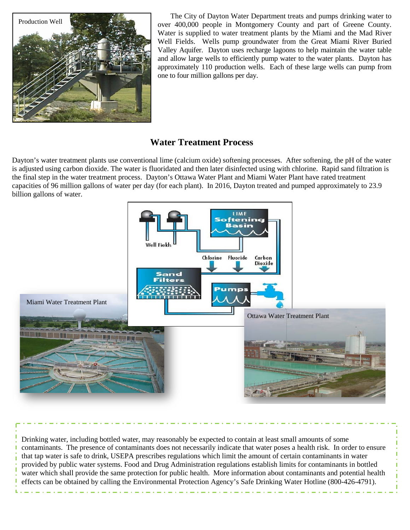

The City of Dayton Water Department treats and pumps drinking water to over 400,000 people in Montgomery County and part of Greene County. Water is supplied to water treatment plants by the Miami and the Mad River Well Fields. Wells pump groundwater from the Great Miami River Buried Valley Aquifer. Dayton uses recharge lagoons to help maintain the water table and allow large wells to efficiently pump water to the water plants. Dayton has approximately 110 production wells. Each of these large wells can pump from one to four million gallons per day.

## **Water Treatment Process**

Dayton's water treatment plants use conventional lime (calcium oxide) softening processes. After softening, the pH of the water is adjusted using carbon dioxide. The water is fluoridated and then later disinfected using with chlorine. Rapid sand filtration is the final step in the water treatment process. Dayton's Ottawa Water Plant and Miami Water Plant have rated treatment capacities of 96 million gallons of water per day (for each plant). In 2016, Dayton treated and pumped approximately to 23.9 billion gallons of water.



Drinking water, including bottled water, may reasonably be expected to contain at least small amounts of some contaminants. The presence of contaminants does not necessarily indicate that water poses a health risk. In order to ensure that tap water is safe to drink, USEPA prescribes regulations which limit the amount of certain contaminants in water provided by public water systems. Food and Drug Administration regulations establish limits for contaminants in bottled water which shall provide the same protection for public health. More information about contaminants and potential health effects can be obtained by calling the Environmental Protection Agency's Safe Drinking Water Hotline (800-426-4791).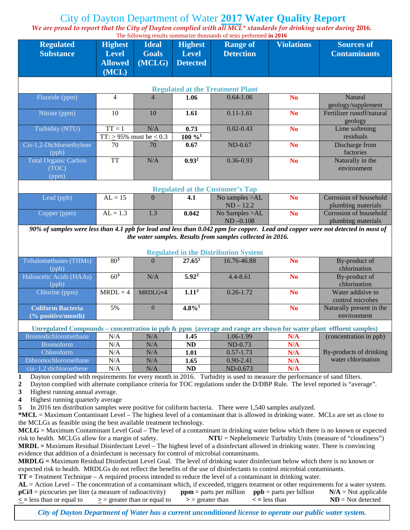# City of Dayton Department of Water **2017 Water Quality Report**

*We are proud to report that the City of Dayton complied with all MCL\* standards for drinking water during* **2016.** 

| The following results summarize thousands of tests performed in 2016                                                                                                                                                                                 |                 |                                   |                      |                                                            |                   |                           |  |  |  |
|------------------------------------------------------------------------------------------------------------------------------------------------------------------------------------------------------------------------------------------------------|-----------------|-----------------------------------|----------------------|------------------------------------------------------------|-------------------|---------------------------|--|--|--|
| <b>Regulated</b>                                                                                                                                                                                                                                     | <b>Highest</b>  | <b>Ideal</b>                      | <b>Highest</b>       | <b>Range of</b>                                            | <b>Violations</b> | <b>Sources of</b>         |  |  |  |
| <b>Substance</b>                                                                                                                                                                                                                                     | <b>Level</b>    | <b>Goals</b>                      | <b>Level</b>         | <b>Detection</b>                                           |                   | <b>Contaminants</b>       |  |  |  |
|                                                                                                                                                                                                                                                      | <b>Allowed</b>  | $\overline{(MCLG)}$               | <b>Detected</b>      |                                                            |                   |                           |  |  |  |
|                                                                                                                                                                                                                                                      | (MCL)           |                                   |                      |                                                            |                   |                           |  |  |  |
|                                                                                                                                                                                                                                                      |                 |                                   |                      |                                                            |                   |                           |  |  |  |
| <b>Regulated at the Treatment Plant</b>                                                                                                                                                                                                              |                 |                                   |                      |                                                            |                   |                           |  |  |  |
| Fluoride (ppm)                                                                                                                                                                                                                                       | $\overline{4}$  | $\overline{4}$                    | 1.06                 | $0.64 - 1.06$                                              | N <sub>o</sub>    | <b>Natural</b>            |  |  |  |
|                                                                                                                                                                                                                                                      |                 |                                   |                      |                                                            |                   | geology/supplement        |  |  |  |
| Nitrate (ppm)                                                                                                                                                                                                                                        | 10              | 10                                | 1.61                 | $0.11 - 1.61$                                              | <b>No</b>         | Fertilizer runoff/natural |  |  |  |
|                                                                                                                                                                                                                                                      |                 |                                   |                      |                                                            |                   | geology                   |  |  |  |
| Turbidity (NTU)                                                                                                                                                                                                                                      | $TT = 1$        | N/A                               | 0.73                 | $0.02 - 0.43$                                              | <b>No</b>         | Lime softening            |  |  |  |
|                                                                                                                                                                                                                                                      |                 | TT: $\geq$ 95% must be $\leq$ 0.3 | $100\%$ <sup>1</sup> |                                                            |                   | residuals                 |  |  |  |
| Cis-1,2-Dichloroethylene                                                                                                                                                                                                                             | 70              | 70                                | 0.67                 | ND-0.67                                                    | <b>No</b>         | Discharge from            |  |  |  |
| (ppb)                                                                                                                                                                                                                                                |                 |                                   |                      |                                                            |                   | factories                 |  |  |  |
| <b>Total Organic Carbon</b>                                                                                                                                                                                                                          | <b>TT</b>       | N/A                               | $0.93^{2}$           | $0.36 - 0.93$                                              | <b>No</b>         | Naturally in the          |  |  |  |
| (TOC)                                                                                                                                                                                                                                                |                 |                                   |                      |                                                            |                   | environment               |  |  |  |
| (ppm)                                                                                                                                                                                                                                                |                 |                                   |                      |                                                            |                   |                           |  |  |  |
| <b>Regulated at the Customer's Tap</b>                                                                                                                                                                                                               |                 |                                   |                      |                                                            |                   |                           |  |  |  |
| Lead (ppb)                                                                                                                                                                                                                                           | $AL = 15$       | $\Omega$                          | 4.1                  | No samples >AL                                             | <b>No</b>         | Corrosion of household    |  |  |  |
|                                                                                                                                                                                                                                                      |                 |                                   |                      | $ND - 12.2$                                                |                   | plumbing materials        |  |  |  |
| Copper (ppm)                                                                                                                                                                                                                                         | $AL = 1.3$      | 1.3                               | 0.042                | No Samples >AL                                             | <b>No</b>         | Corrosion of household    |  |  |  |
|                                                                                                                                                                                                                                                      |                 |                                   |                      | $ND -0.108$                                                |                   | plumbing materials        |  |  |  |
| 90% of samples were less than 4.1 ppb for lead and less than 0.042 ppm for copper. Lead and copper were not detected in most of                                                                                                                      |                 |                                   |                      |                                                            |                   |                           |  |  |  |
| the water samples. Results from samples collected in 2016.                                                                                                                                                                                           |                 |                                   |                      |                                                            |                   |                           |  |  |  |
|                                                                                                                                                                                                                                                      |                 |                                   |                      |                                                            |                   |                           |  |  |  |
| <b>Trihalomethanes (THMs)</b>                                                                                                                                                                                                                        | 80 <sup>3</sup> | $\Omega$                          | $27.65^3$            | <b>Regulated in the Distribution System</b><br>16.76-46.88 | <b>No</b>         | By-product of             |  |  |  |
|                                                                                                                                                                                                                                                      |                 |                                   |                      |                                                            |                   | chlorination              |  |  |  |
| (ppb)<br>Haloacetic Acids (HAAs)                                                                                                                                                                                                                     | 60 <sup>3</sup> | N/A                               | $5.92^3$             | $4.4 - 8.61$                                               | <b>No</b>         | By-product of             |  |  |  |
|                                                                                                                                                                                                                                                      |                 |                                   |                      |                                                            |                   | chlorination              |  |  |  |
| (ppb)<br>Chlorine (ppm)                                                                                                                                                                                                                              | $MRDL = 4$      | MRDLG=4                           | 1.11 <sup>3</sup>    | $0.26 - 1.72$                                              | <b>No</b>         | Water additive to         |  |  |  |
|                                                                                                                                                                                                                                                      |                 |                                   |                      |                                                            |                   | control microbes          |  |  |  |
| <b>Coliform Bacteria</b>                                                                                                                                                                                                                             | 5%              | $\mathbf{0}$                      | $4.8\%$ <sup>5</sup> |                                                            | <b>No</b>         | Naturally present in the  |  |  |  |
| (% positive/month)                                                                                                                                                                                                                                   |                 |                                   |                      |                                                            |                   | environment               |  |  |  |
|                                                                                                                                                                                                                                                      |                 |                                   |                      |                                                            |                   |                           |  |  |  |
| Unregulated Compounds – concentration in ppb $\&$ ppm (average and range are shown for water plant effluent samples)                                                                                                                                 |                 |                                   |                      |                                                            |                   |                           |  |  |  |
| Bromodichloromethane                                                                                                                                                                                                                                 | N/A             | N/A                               | 1.45                 | 1.06-1.99                                                  | N/A               | (concentration in ppb)    |  |  |  |
| <b>Bromoform</b>                                                                                                                                                                                                                                     | N/A             | N/A                               | ND                   | $ND-0.73$                                                  | N/A               |                           |  |  |  |
| Chloroform                                                                                                                                                                                                                                           | N/A             | N/A                               | 1.01                 | $0.57 - 1.73$                                              | N/A               | By-products of drinking   |  |  |  |
| Dibromochloromethane                                                                                                                                                                                                                                 | N/A             | N/A                               | 1.65                 | $0.90 - 2.41$                                              | N/A               | water chlorination        |  |  |  |
| cis-1,2 dichloroethene                                                                                                                                                                                                                               | N/A             | N/A                               | ND                   | ND-0.673                                                   | N/A               |                           |  |  |  |
| Dayton complied with requirements for every month in 2016. Turbidity is used to measure the performance of sand filters.<br>1                                                                                                                        |                 |                                   |                      |                                                            |                   |                           |  |  |  |
| Dayton complied with alternate compliance criteria for TOC regulations under the D/DBP Rule. The level reported is "average".<br>$\boldsymbol{2}$                                                                                                    |                 |                                   |                      |                                                            |                   |                           |  |  |  |
| Highest running annual average.<br>3                                                                                                                                                                                                                 |                 |                                   |                      |                                                            |                   |                           |  |  |  |
| Highest running quarterly average<br>4                                                                                                                                                                                                               |                 |                                   |                      |                                                            |                   |                           |  |  |  |
| In 2016 ten distribution samples were positive for coliform bacteria. There were 1,540 samples analyzed.<br>5<br>$*MCL = Maximum Contaminant Level - The highest level of a contaminant that is allowed in drinking water. MCLs are set as close to$ |                 |                                   |                      |                                                            |                   |                           |  |  |  |
|                                                                                                                                                                                                                                                      |                 |                                   |                      |                                                            |                   |                           |  |  |  |
| the MCLGs as feasible using the best available treatment technology.                                                                                                                                                                                 |                 |                                   |                      |                                                            |                   |                           |  |  |  |
| MCLG = Maximum Contaminant Level Goal – The level of a contaminant in drinking water below which there is no known or expected                                                                                                                       |                 |                                   |                      |                                                            |                   |                           |  |  |  |

risk to health. MCLGs allow for a margin of safety. **NTU** = Nephelometric Turbidity Units (measure of "cloudiness") **MRDL =** Maximum Residual Disinfectant Level – The highest level of a disinfectant allowed in drinking water. There is convincing evidence that addition of a disinfectant is necessary for control of microbial contaminants.

**MRDLG =** Maximum Residual Disinfectant Level Goal. The level of drinking water disinfectant below which there is no known or expected risk to health. MRDLGs do not reflect the benefits of the use of disinfectants to control microbial contaminants.

**TT =** Treatment Technique – A required process intended to reduce the level of a contaminant in drinking water.

|                                                             | $AL = Action Level - The concentration of a contaminant which, if exceeded, triggers treatment or other requirements for a water system.$ |                                                     |                    |                        |
|-------------------------------------------------------------|-------------------------------------------------------------------------------------------------------------------------------------------|-----------------------------------------------------|--------------------|------------------------|
| $pCi/I$ = picocuries per liter (a measure of radioactivity) |                                                                                                                                           | $ppm =$ parts per million $ppb =$ parts per billion |                    | $N/A = Not$ applicable |
| $\leq$ = less than or equal to                              | $\geq$ = greater than or equal to                                                                                                         | $\mathcal{p}$ = greater than                        | $\leq$ = less than | $ND = Not detected$    |

*City of Dayton Department of Water has a current unconditioned license to operate our public water system.*